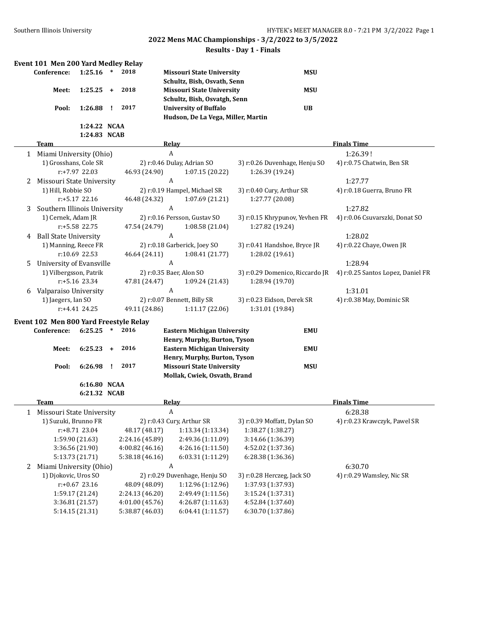## **Results - Day 1 - Finals**

|    | Event 101 Men 200 Yard Medley Relay                 |                                    |              |                                   |                                    |                                        |                                         |
|----|-----------------------------------------------------|------------------------------------|--------------|-----------------------------------|------------------------------------|----------------------------------------|-----------------------------------------|
|    | Conference:                                         | 1:25.16                            | $\ast$       | 2018                              | <b>Missouri State University</b>   | <b>MSU</b>                             |                                         |
|    |                                                     |                                    |              |                                   | Schultz, Bish, Osvath, Senn        |                                        |                                         |
|    | Meet:                                               | 1:25.25                            | $+$          | 2018                              | <b>Missouri State University</b>   | <b>MSU</b>                             |                                         |
|    |                                                     |                                    |              |                                   | Schultz, Bish, Osvatgh, Senn       |                                        |                                         |
|    | Pool:                                               | 1:26.88                            | п.           | 2017                              | <b>University of Buffalo</b>       | <b>UB</b>                              |                                         |
|    |                                                     |                                    |              |                                   | Hudson, De La Vega, Miller, Martin |                                        |                                         |
|    |                                                     | 1:24.22 NCAA                       |              |                                   |                                    |                                        |                                         |
|    |                                                     | 1:24.83 NCAB                       |              |                                   |                                    |                                        |                                         |
|    | Team                                                |                                    |              |                                   | Relay                              |                                        | <b>Finals Time</b>                      |
|    | 1 Miami University (Ohio)                           |                                    |              |                                   | $\boldsymbol{A}$                   |                                        | 1:26.39!                                |
|    | 1) Grosshans, Cole SR                               |                                    |              |                                   | 2) r:0.46 Dulay, Adrian SO         | 3) r:0.26 Duvenhage, Henju SO          | 4) r:0.75 Chatwin, Ben SR               |
|    |                                                     | $r: +7.97$ 22.03                   |              | 46.93 (24.90)                     | 1:07.15 (20.22)                    | 1:26.39 (19.24)                        |                                         |
|    | 2 Missouri State University                         |                                    |              |                                   | A                                  |                                        | 1:27.77                                 |
|    | 1) Hill, Robbie SO                                  |                                    |              |                                   | 2) r:0.19 Hampel, Michael SR       | 3) r:0.40 Cury, Arthur SR              | 4) r:0.18 Guerra, Bruno FR              |
|    |                                                     | $r: +5.17$ 22.16                   |              | 46.48 (24.32)                     | 1:07.69 (21.21)                    | 1:27.77 (20.08)                        |                                         |
| 3  | Southern Illinois University                        |                                    |              |                                   | A                                  |                                        | 1:27.82                                 |
|    | 1) Cernek, Adam JR                                  |                                    |              |                                   | 2) r:0.16 Persson, Gustav SO       | 3) r:0.15 Khrypunov, Yevhen FR         | 4) r:0.06 Csuvarszki, Donat SO          |
|    |                                                     | r:+5.58 22.75                      |              | 47.54 (24.79)                     | 1:08.58(21.04)                     | 1:27.82 (19.24)                        |                                         |
| 4  | <b>Ball State University</b>                        |                                    |              |                                   | A                                  |                                        | 1:28.02                                 |
|    | 1) Manning, Reece FR                                |                                    |              |                                   | 2) r:0.18 Garberick, Joey SO       | 3) r:0.41 Handshoe, Bryce JR           | 4) r:0.22 Chaye, Owen JR                |
|    |                                                     | r:10.69 22.53                      |              | 46.64 (24.11)                     | 1:08.41 (21.77)                    | 1:28.02 (19.61)                        |                                         |
| 5. | University of Evansville                            |                                    |              |                                   | $\boldsymbol{A}$                   |                                        | 1:28.94                                 |
|    | 1) Vilbergsson, Patrik                              |                                    |              |                                   | 2) r:0.35 Baer, Alon SO            | 3) r:0.29 Domenico, Riccardo JR        | 4) r:0.25 Santos Lopez, Daniel FR       |
|    |                                                     | $r: +5.16$ 23.34                   |              | 47.81 (24.47)                     | 1:09.24 (21.43)                    | 1:28.94 (19.70)                        |                                         |
|    |                                                     |                                    |              |                                   | $\boldsymbol{A}$                   |                                        | 1:31.01                                 |
| 6  | Valparaiso University<br>1) Jaegers, Ian SO         |                                    |              |                                   | 2) r:0.07 Bennett, Billy SR        | 3) r:0.23 Eidson, Derek SR             | 4) r:0.38 May, Dominic SR               |
|    |                                                     | $r: +4.41$ 24.25                   |              | 49.11 (24.86)                     | 1:11.17 (22.06)                    | 1:31.01 (19.84)                        |                                         |
|    |                                                     |                                    |              |                                   |                                    |                                        |                                         |
|    | Event 102 Men 800 Yard Freestyle Relay              |                                    |              |                                   |                                    |                                        |                                         |
|    | Conference:                                         | 6:25.25                            | $\ast$       | 2016                              | <b>Eastern Michigan University</b> | <b>EMU</b>                             |                                         |
|    |                                                     |                                    |              |                                   | Henry, Murphy, Burton, Tyson       |                                        |                                         |
|    | Meet:                                               | 6:25.23                            | $+$          | 2016                              | <b>Eastern Michigan University</b> | <b>EMU</b>                             |                                         |
|    |                                                     |                                    |              |                                   | Henry, Murphy, Burton, Tyson       |                                        |                                         |
|    | Pool:                                               | 6:26.98                            | $\mathbf{I}$ | 2017                              | <b>Missouri State University</b>   | <b>MSU</b>                             |                                         |
|    |                                                     |                                    |              |                                   | Mollak, Cwiek, Osvath, Brand       |                                        |                                         |
|    |                                                     | 6:16.80 NCAA<br>6:21.32 NCAB       |              |                                   |                                    |                                        |                                         |
|    | <u>Team</u>                                         |                                    |              |                                   | Relay                              |                                        | <b>Finals Time</b>                      |
|    |                                                     |                                    |              |                                   | $\boldsymbol{A}$                   |                                        |                                         |
|    | 1 Missouri State University<br>1) Suzuki, Brunno FR |                                    |              |                                   | 2) r:0.43 Cury, Arthur SR          |                                        | 6:28.38<br>4) r:0.23 Krawczyk, Pawel SR |
|    |                                                     |                                    |              |                                   | 1:13.34 (1:13.34)                  | 3) r:0.39 Moffatt, Dylan SO            |                                         |
|    |                                                     | r:+8.71 23.04                      |              | 48.17 (48.17)                     |                                    | 1:38.27 (1:38.27)                      |                                         |
|    |                                                     | 1:59.90 (21.63)                    |              | 2:24.16 (45.89)<br>4:00.82(46.16) | 2:49.36 (1:11.09)                  | 3:14.66 (1:36.39)                      |                                         |
|    |                                                     | 3:36.56 (21.90)<br>5:13.73 (21.71) |              | 5:38.18 (46.16)                   | 4:26.16 (1:11.50)                  | 4:52.02 (1:37.36)<br>6:28.38 (1:36.36) |                                         |
|    |                                                     |                                    |              |                                   | 6:03.31 (1:11.29)<br>A             |                                        |                                         |
|    | 2 Miami University (Ohio)                           |                                    |              |                                   |                                    |                                        | 6:30.70                                 |
|    | 1) Djokovic, Uros SO                                |                                    |              |                                   | 2) r:0.29 Duvenhage, Henju SO      | 3) r:0.28 Herczeg, Jack SO             | 4) r:0.29 Wamsley, Nic SR               |
|    |                                                     | $r: +0.67$ 23.16                   |              | 48.09 (48.09)                     | 1:12.96 (1:12.96)                  | 1:37.93 (1:37.93)                      |                                         |
|    |                                                     | 1:59.17 (21.24)                    |              | 2:24.13 (46.20)                   | 2:49.49 (1:11.56)                  | 3:15.24 (1:37.31)                      |                                         |
|    |                                                     | 3:36.81 (21.57)                    |              | 4:01.00 (45.76)                   | 4:26.87 (1:11.63)                  | 4:52.84 (1:37.60)                      |                                         |
|    |                                                     | 5:14.15 (21.31)                    |              | 5:38.87 (46.03)                   | 6:04.41 (1:11.57)                  | 6:30.70 (1:37.86)                      |                                         |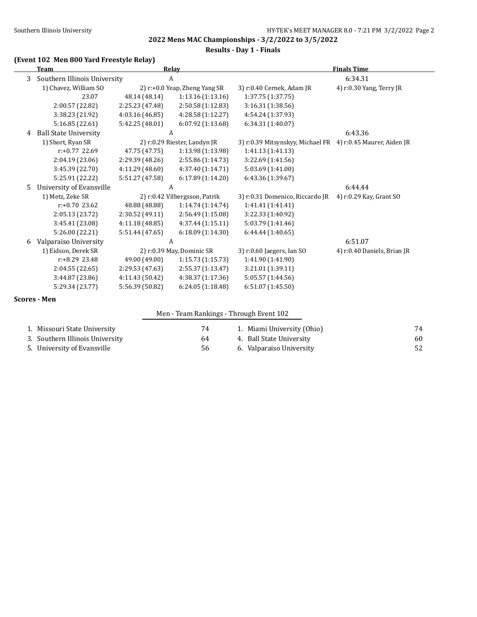**Results - Day 1 - Finals**

## **(Event 102 Men 800 Yard Freestyle Relay)**

|    | <b>Team</b>                  |                 | <b>Relay</b>                  |                                                             | <b>Finals Time</b>          |  |
|----|------------------------------|-----------------|-------------------------------|-------------------------------------------------------------|-----------------------------|--|
| 3  | Southern Illinois University |                 | A                             | 6:34.31                                                     |                             |  |
|    | 1) Chavez, William SO        |                 | 2) r:+0.0 Yeap, Zheng Yang SR | 3) r:0.40 Cernek, Adam JR                                   | 4) r:0.30 Yang, Terry JR    |  |
|    | 23.07                        | 48.14 (48.14)   | 1:13.16(1:13.16)              | 1:37.75 (1:37.75)                                           |                             |  |
|    | 2:00.57 (22.82)              | 2:25.23 (47.48) | 2:50.58 (1:12.83)             | 3:16.31 (1:38.56)                                           |                             |  |
|    | 3:38.23 (21.92)              | 4:03.16 (46.85) | 4:28.58 (1:12.27)             | 4:54.24 (1:37.93)                                           |                             |  |
|    | 5:16.85 (22.61)              | 5:42.25 (48.01) | 6:07.92 (1:13.68)             | 6:34.31 (1:40.07)                                           |                             |  |
| 4  | <b>Ball State University</b> |                 | A                             |                                                             | 6:43.36                     |  |
|    | 1) Short, Ryan SR            |                 | 2) r:0.29 Riester, Landyn JR  | 3) r:0.39 Mitsynskyy, Michael FR 4) r:0.45 Maurer, Aiden JR |                             |  |
|    | $r: +0.77$ 22.69             | 47.75 (47.75)   | 1:13.98 (1:13.98)             | 1:41.13 (1:41.13)                                           |                             |  |
|    | 2:04.19 (23.06)              | 2:29.39(48.26)  | 2:55.86 (1:14.73)             | 3:22.69 (1:41.56)                                           |                             |  |
|    | 3:45.39 (22.70)              | 4:11.29 (48.60) | 4:37.40 (1:14.71)             | 5:03.69 (1:41.00)                                           |                             |  |
|    | 5:25.91 (22.22)              | 5:51.27 (47.58) | 6:17.89(1:14.20)              | 6:43.36 (1:39.67)                                           |                             |  |
| .5 | University of Evansville     |                 | A                             |                                                             | 6:44.44                     |  |
|    | 1) Metz, Zeke SR             |                 | 2) r:0.42 Vilbergsson, Patrik | 3) r:0.31 Domenico, Riccardo JR                             | 4) r:0.29 Kay, Grant SO     |  |
|    | $r: +0.70$ 23.62             | 48.88 (48.88)   | 1:14.74(1:14.74)              | 1:41.41 (1:41.41)                                           |                             |  |
|    | 2:05.13 (23.72)              | 2:30.52 (49.11) | 2:56.49 (1:15.08)             | 3:22.33 (1:40.92)                                           |                             |  |
|    | 3:45.41 (23.08)              | 4:11.18 (48.85) | 4:37.44 (1:15.11)             | 5:03.79 (1:41.46)                                           |                             |  |
|    | 5:26.00 (22.21)              | 5:51.44(47.65)  | 6:18.09(1:14.30)              | 6:44.44(1:40.65)                                            |                             |  |
| 6  | Valparaiso University        |                 | A                             |                                                             | 6:51.07                     |  |
|    | 1) Eidson, Derek SR          |                 | 2) r:0.39 May, Dominic SR     | 3) r:0.60 Jaegers, Ian SO                                   | 4) r:0.40 Daniels, Brian JR |  |
|    | $r: +8.29$ 23.48             | 49.00 (49.00)   | 1:15.73(1:15.73)              | 1:41.90 (1:41.90)                                           |                             |  |
|    | 2:04.55 (22.65)              | 2:29.53 (47.63) | 2:55.37 (1:13.47)             | 3:21.01 (1:39.11)                                           |                             |  |
|    | 3:44.87 (23.86)              | 4:11.43 (50.42) | 4:38.37 (1:17.36)             | 5:05.57 (1:44.56)                                           |                             |  |
|    | 5:29.34 (23.77)              | 5:56.39 (50.82) | 6:24.05 (1:18.48)             | 6:51.07(1:45.50)                                            |                             |  |
|    | <b>Scores - Men</b>          |                 |                               |                                                             |                             |  |

|                                 | Men - Team Rankings - Through Event 102 |                            |    |
|---------------------------------|-----------------------------------------|----------------------------|----|
| 1. Missouri State University    | 74                                      | 1. Miami University (Ohio) | 74 |
| 3. Southern Illinois University | 64                                      | 4. Ball State University   | 60 |
| 5. University of Evansville     | 56                                      | 6. Valparaiso University   |    |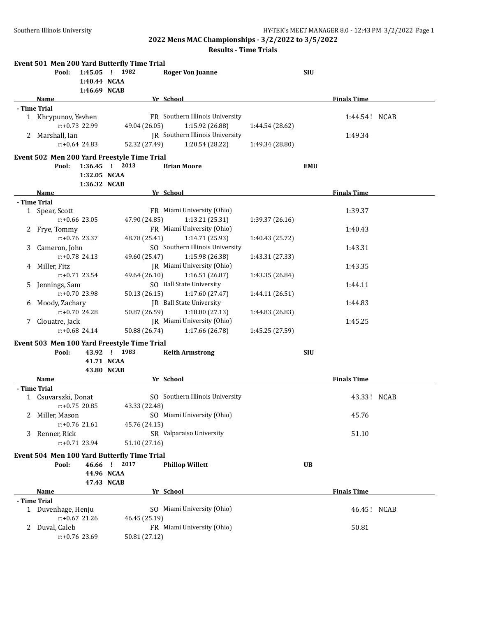## **Results - Time Trials**

|    |                     |                  | Event 501 Men 200 Yard Butterfly Time Trial |                                 |                 |            |                    |  |
|----|---------------------|------------------|---------------------------------------------|---------------------------------|-----------------|------------|--------------------|--|
|    | Pool:               |                  | 1:45.05 ! 1982                              | <b>Roger Von Juanne</b>         |                 | <b>SIU</b> |                    |  |
|    |                     | 1:40.44 NCAA     |                                             |                                 |                 |            |                    |  |
|    |                     | 1:46.69 NCAB     |                                             |                                 |                 |            |                    |  |
|    | Name                |                  |                                             | Yr School                       |                 |            | <b>Finals Time</b> |  |
|    | - Time Trial        |                  |                                             |                                 |                 |            |                    |  |
|    | 1 Khrypunov, Yevhen |                  |                                             | FR Southern Illinois University |                 |            | 1:44.54! NCAB      |  |
|    |                     | $r: +0.73$ 22.99 | 49.04 (26.05)                               | 1:15.92 (26.88)                 | 1:44.54 (28.62) |            |                    |  |
|    | 2 Marshall, Ian     |                  |                                             | JR Southern Illinois University |                 |            | 1:49.34            |  |
|    |                     | $r: +0.64$ 24.83 | 52.32 (27.49)                               | 1:20.54 (28.22)                 | 1:49.34 (28.80) |            |                    |  |
|    |                     |                  | Event 502 Men 200 Yard Freestyle Time Trial |                                 |                 |            |                    |  |
|    | Pool:               | $1:36.45$ !      | 2013                                        | <b>Brian Moore</b>              |                 | <b>EMU</b> |                    |  |
|    |                     | 1:32.05 NCAA     |                                             |                                 |                 |            |                    |  |
|    |                     | 1:36.32 NCAB     |                                             |                                 |                 |            |                    |  |
|    | Name                |                  |                                             | Yr School                       |                 |            | <b>Finals Time</b> |  |
|    | - Time Trial        |                  |                                             |                                 |                 |            |                    |  |
|    | 1 Spear, Scott      |                  |                                             | FR Miami University (Ohio)      |                 |            | 1:39.37            |  |
|    |                     | $r: +0.66$ 23.05 | 47.90 (24.85)                               | 1:13.21 (25.31)                 | 1:39.37 (26.16) |            |                    |  |
|    | 2 Frye, Tommy       |                  |                                             | FR Miami University (Ohio)      |                 |            | 1:40.43            |  |
|    |                     | $r: +0.76$ 23.37 | 48.78 (25.41)                               | 1:14.71 (25.93)                 | 1:40.43 (25.72) |            |                    |  |
| 3  | Cameron, John       |                  |                                             | SO Southern Illinois University |                 |            | 1:43.31            |  |
|    |                     | $r: +0.78$ 24.13 | 49.60 (25.47)                               | 1:15.98 (26.38)                 | 1:43.31 (27.33) |            |                    |  |
| 4  | Miller, Fitz        |                  |                                             | JR Miami University (Ohio)      |                 |            | 1:43.35            |  |
|    |                     | $r: +0.71$ 23.54 | 49.64 (26.10)                               | 1:16.51(26.87)                  | 1:43.35 (26.84) |            |                    |  |
|    | Jennings, Sam       |                  |                                             | SO Ball State University        |                 |            | 1:44.11            |  |
| 5. |                     | $r: +0.70$ 23.98 | 50.13 (26.15)                               | 1:17.60 (27.47)                 |                 |            |                    |  |
|    |                     |                  |                                             |                                 | 1:44.11 (26.51) |            |                    |  |
| 6  | Moody, Zachary      | r:+0.70 24.28    |                                             | JR Ball State University        |                 |            | 1:44.83            |  |
|    |                     |                  | 50.87 (26.59)                               | 1:18.00 (27.13)                 | 1:44.83 (26.83) |            |                    |  |
|    | 7 Clouatre, Jack    |                  |                                             | JR Miami University (Ohio)      |                 |            | 1:45.25            |  |
|    |                     | $r: +0.68$ 24.14 | 50.88 (26.74)                               | 1:17.66 (26.78)                 | 1:45.25 (27.59) |            |                    |  |
|    |                     |                  | Event 503 Men 100 Yard Freestyle Time Trial |                                 |                 |            |                    |  |
|    | Pool:               |                  | 43.92 ! 1983                                | <b>Keith Armstrong</b>          |                 | <b>SIU</b> |                    |  |
|    |                     |                  | 41.71 NCAA                                  |                                 |                 |            |                    |  |
|    |                     |                  | 43.80 NCAB                                  |                                 |                 |            |                    |  |
|    | Name                |                  |                                             | Yr School                       |                 |            | <b>Finals Time</b> |  |
|    | - Time Trial        |                  |                                             |                                 |                 |            |                    |  |
|    | 1 Csuvarszki, Donat |                  |                                             | SO Southern Illinois University |                 |            | 43.33! NCAB        |  |
|    |                     | $r: +0.75$ 20.85 | 43.33 (22.48)                               |                                 |                 |            |                    |  |
|    | Miller, Mason       |                  |                                             | SO Miami University (Ohio)      |                 |            | 45.76              |  |
|    |                     | $r: +0.76$ 21.61 | 45.76 (24.15)                               |                                 |                 |            |                    |  |
| 3  | Renner, Rick        |                  |                                             | SR Valparaiso University        |                 |            | 51.10              |  |
|    |                     | r:+0.71 23.94    | 51.10 (27.16)                               |                                 |                 |            |                    |  |
|    |                     |                  | Event 504 Men 100 Yard Butterfly Time Trial |                                 |                 |            |                    |  |
|    | Pool:               |                  | 46.66 ! 2017                                | <b>Phillop Willett</b>          |                 | <b>UB</b>  |                    |  |
|    |                     |                  | 44.96 NCAA                                  |                                 |                 |            |                    |  |
|    |                     |                  | 47.43 NCAB                                  |                                 |                 |            |                    |  |
|    | <u>Name</u>         |                  |                                             | Yr School                       |                 |            | <b>Finals Time</b> |  |
|    | - Time Trial        |                  |                                             |                                 |                 |            |                    |  |
|    | 1 Duvenhage, Henju  |                  |                                             | SO Miami University (Ohio)      |                 |            | 46.45! NCAB        |  |
|    |                     | r:+0.67 21.26    | 46.45 (25.19)                               |                                 |                 |            |                    |  |
|    | 2 Duval, Caleb      |                  |                                             | FR Miami University (Ohio)      |                 |            | 50.81              |  |
|    |                     | r:+0.76 23.69    | 50.81 (27.12)                               |                                 |                 |            |                    |  |
|    |                     |                  |                                             |                                 |                 |            |                    |  |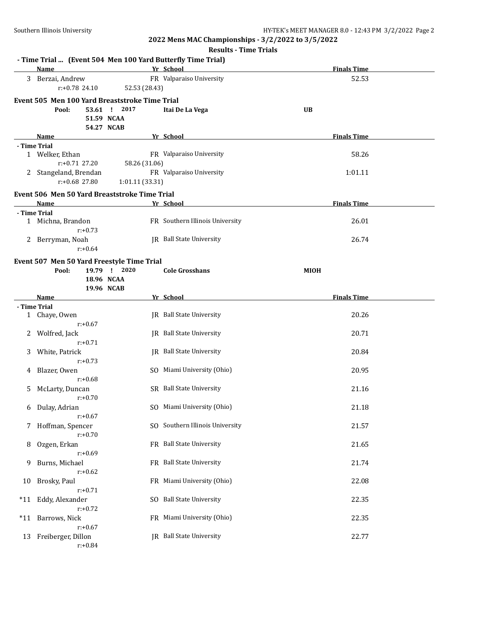|       | <b>Results - Time Trials</b>                                |                                          |                                                        |                    |  |  |  |  |
|-------|-------------------------------------------------------------|------------------------------------------|--------------------------------------------------------|--------------------|--|--|--|--|
|       | - Time Trial  (Event 504 Men 100 Yard Butterfly Time Trial) |                                          |                                                        |                    |  |  |  |  |
|       | Name                                                        |                                          | Yr School                                              | <b>Finals Time</b> |  |  |  |  |
|       | 3 Berzai, Andrew<br>$r: +0.78$ 24.10                        | 52.53 (28.43)                            | FR Valparaiso University                               | 52.53              |  |  |  |  |
|       | Event 505 Men 100 Yard Breaststroke Time Trial<br>Pool:     | 53.61 ! 2017<br>51.59 NCAA<br>54.27 NCAB | Itai De La Vega                                        | <b>UB</b>          |  |  |  |  |
|       | Name                                                        |                                          | Yr School                                              | <b>Finals Time</b> |  |  |  |  |
|       | - Time Trial<br>1 Welker, Ethan<br>$r: +0.71$ 27.20         | 58.26 (31.06)                            | FR Valparaiso University                               | 58.26              |  |  |  |  |
|       | 2 Stangeland, Brendan<br>r:+0.68 27.80                      | 1:01.11 (33.31)                          | FR Valparaiso University                               | 1:01.11            |  |  |  |  |
|       | Event 506 Men 50 Yard Breaststroke Time Trial               |                                          |                                                        |                    |  |  |  |  |
|       | Name                                                        |                                          | Yr School                                              | <b>Finals Time</b> |  |  |  |  |
|       | - Time Trial<br>1 Michna, Brandon<br>$r: +0.73$             |                                          | FR Southern Illinois University                        | 26.01              |  |  |  |  |
|       | 2 Berryman, Noah<br>$r: +0.64$                              |                                          | <b>IR</b> Ball State University                        | 26.74              |  |  |  |  |
|       | Event 507 Men 50 Yard Freestyle Time Trial<br>Pool:         | 19.79 ! 2020<br>18.96 NCAA<br>19.96 NCAB | <b>Cole Grosshans</b>                                  | <b>MIOH</b>        |  |  |  |  |
|       | Name                                                        |                                          | Yr School                                              | <b>Finals Time</b> |  |  |  |  |
|       | - Time Trial                                                |                                          |                                                        |                    |  |  |  |  |
|       | 1 Chaye, Owen<br>$r: +0.67$                                 |                                          | JR Ball State University                               | 20.26              |  |  |  |  |
| 2     | Wolfred, Jack<br>$r: +0.71$                                 |                                          | JR Ball State University                               | 20.71              |  |  |  |  |
| 3     | White, Patrick<br>$r: +0.73$                                |                                          | JR Ball State University<br>SO Miami University (Ohio) | 20.84              |  |  |  |  |
| 4     | Blazer, Owen<br>$r: +0.68$                                  |                                          |                                                        | 20.95              |  |  |  |  |
| 5     | McLarty, Duncan<br>$r: +0.70$                               |                                          | SR Ball State University                               | 21.16              |  |  |  |  |
| 6     | Dulay, Adrian<br>$r: +0.67$                                 |                                          | SO Miami University (Ohio)                             | 21.18              |  |  |  |  |
| 7     | Hoffman, Spencer<br>$r: +0.70$                              |                                          | SO Southern Illinois University                        | 21.57              |  |  |  |  |
| 8     | Ozgen, Erkan<br>$r: +0.69$                                  |                                          | FR Ball State University                               | 21.65              |  |  |  |  |
| 9     | Burns, Michael<br>$r: +0.62$                                |                                          | FR Ball State University                               | 21.74              |  |  |  |  |
| 10    | Brosky, Paul<br>$r: +0.71$                                  |                                          | FR Miami University (Ohio)                             | 22.08              |  |  |  |  |
| $*11$ | Eddy, Alexander<br>$r: +0.72$                               |                                          | SO Ball State University                               | 22.35              |  |  |  |  |
| $*11$ | Barrows, Nick<br>$r: +0.67$                                 |                                          | FR Miami University (Ohio)                             | 22.35              |  |  |  |  |
| 13    | Freiberger, Dillon<br>$r: +0.84$                            |                                          | JR Ball State University                               | 22.77              |  |  |  |  |